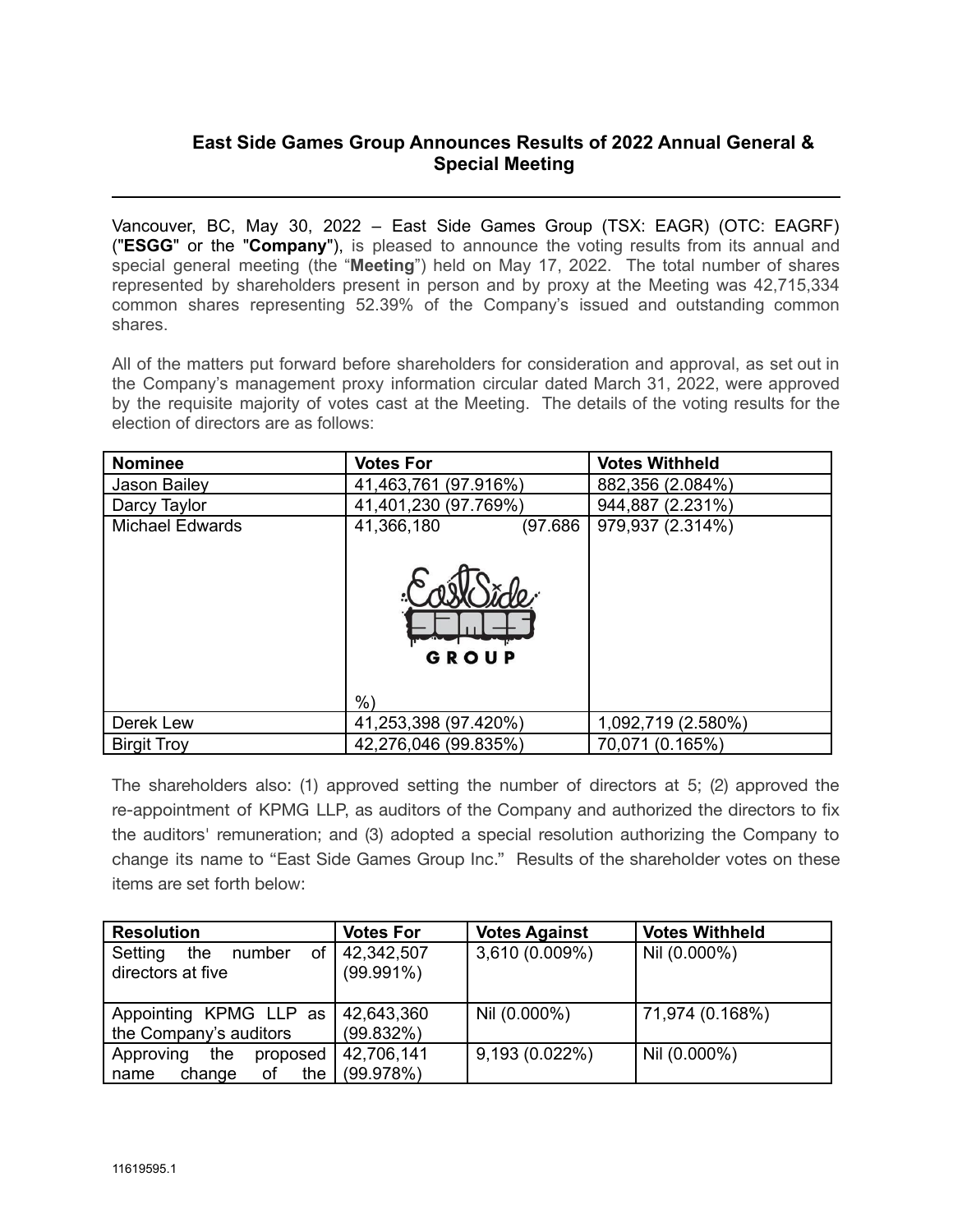## **East Side Games Group Announces Results of 2022 Annual General & Special Meeting**

Vancouver, BC, May 30, 2022 – East Side Games Group (TSX: EAGR) (OTC: EAGRF) ("**ESGG**" or the "**Company**"), is pleased to announce the voting results from its annual and special general meeting (the "**Meeting**") held on May 17, 2022. The total number of shares represented by shareholders present in person and by proxy at the Meeting was 42,715,334 common shares representing 52.39% of the Company's issued and outstanding common shares.

All of the matters put forward before shareholders for consideration and approval, as set out in the Company's management proxy information circular dated March 31, 2022, were approved by the requisite majority of votes cast at the Meeting. The details of the voting results for the election of directors are as follows:

| <b>Nominee</b>         | <b>Votes For</b>                         | <b>Votes Withheld</b> |
|------------------------|------------------------------------------|-----------------------|
| Jason Bailey           | 41,463,761 (97.916%)                     | 882,356 (2.084%)      |
| Darcy Taylor           | 41,401,230 (97.769%)                     | 944,887 (2.231%)      |
| <b>Michael Edwards</b> | (97.686)<br>41,366,180<br>GROUP<br>$%$ ) | 979,937 (2.314%)      |
| Derek Lew              | 41,253,398 (97.420%)                     | 1,092,719 (2.580%)    |
| <b>Birgit Troy</b>     | 42,276,046 (99.835%)                     | 70,071 (0.165%)       |

The shareholders also: (1) approved setting the number of directors at 5; (2) approved the re-appointment of KPMG LLP, as auditors of the Company and authorized the directors to fix the auditors' remuneration; and (3) adopted a special resolution authorizing the Company to change its name to "East Side Games Group Inc." Results of the shareholder votes on these items are set forth below:

| <b>Resolution</b>                                   | <b>Votes For</b>           | <b>Votes Against</b> | <b>Votes Withheld</b> |
|-----------------------------------------------------|----------------------------|----------------------|-----------------------|
| οf<br>the<br>Setting<br>number<br>directors at five | 42,342,507<br>$(99.991\%)$ | 3,610 (0.009%)       | Nil (0.000%)          |
| Appointing KPMG LLP as                              | 42,643,360                 | Nil (0.000%)         | 71,974 (0.168%)       |
| the Company's auditors                              | (99.832%)                  |                      |                       |
| the<br>proposed<br>Approving                        | 42,706,141                 | $9,193(0.022\%)$     | Nil (0.000%)          |
| the<br>change<br>of<br>name                         | (99.978%)                  |                      |                       |